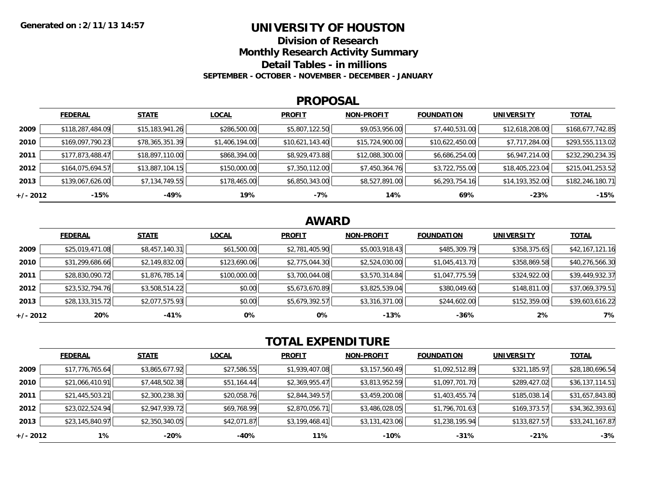### **UNIVERSITY OF HOUSTON**

**Division of Research**

**Monthly Research Activity Summary**

**Detail Tables - in millions**

**SEPTEMBER - OCTOBER - NOVEMBER - DECEMBER - JANUARY**

#### **PROPOSAL**

|            | <b>FEDERAL</b>   | <b>STATE</b>    | <b>LOCAL</b>   | <b>PROFIT</b>   | <b>NON-PROFIT</b> | <b>FOUNDATION</b> | <b>UNIVERSITY</b> | <b>TOTAL</b>     |
|------------|------------------|-----------------|----------------|-----------------|-------------------|-------------------|-------------------|------------------|
| 2009       | \$118,287,484.09 | \$15,183,941.26 | \$286,500.00   | \$5,807,122.50  | \$9,053,956.00    | \$7,440,531.00    | \$12,618,208.00   | \$168,677,742.85 |
| 2010       | \$169,097,790.23 | \$78,365,351.39 | \$1,406,194.00 | \$10,621,143.40 | \$15,724,900.00   | \$10,622,450.00   | \$7,717,284.00    | \$293,555,113.02 |
| 2011       | \$177,873,488.47 | \$18,897,110.00 | \$868,394.00   | \$8,929,473.88  | \$12,088,300.00   | \$6,686,254.00    | \$6,947,214.00    | \$232,290,234.35 |
| 2012       | \$164,075,694.57 | \$13,887,104.15 | \$150,000.00   | \$7,350,112.00  | \$7,450,364.76    | \$3,722,755.00    | \$18,405,223.04   | \$215,041,253.52 |
| 2013       | \$139,067,626.00 | \$7,134,749.55  | \$178,465.00   | \$6,850,343.00  | \$8,527,891.00    | \$6,293,754.16    | \$14,193,352.00   | \$182,246,180.71 |
| $+/- 2012$ | $-15%$           | -49%            | 19%            | $-7%$           | 14%               | 69%               | $-23%$            | $-15%$           |

## **AWARD**

|            | <b>FEDERAL</b>  | <b>STATE</b>   | <b>LOCAL</b> | <b>PROFIT</b>  | <b>NON-PROFIT</b> | <b>FOUNDATION</b> | <b>UNIVERSITY</b> | <b>TOTAL</b>    |
|------------|-----------------|----------------|--------------|----------------|-------------------|-------------------|-------------------|-----------------|
| 2009       | \$25,019,471.08 | \$8,457,140.31 | \$61,500.00  | \$2,781,405.90 | \$5,003,918.43    | \$485,309.79      | \$358,375.65      | \$42,167,121.16 |
| 2010       | \$31,299,686.66 | \$2,149,832.00 | \$123,690.06 | \$2,775,044.30 | \$2,524,030.00    | \$1,045,413.70    | \$358,869.58      | \$40,276,566.30 |
| 2011       | \$28,830,090.72 | \$1,876,785.14 | \$100,000.00 | \$3,700,044.08 | \$3,570,314.84    | \$1,047,775.59    | \$324,922.00      | \$39,449,932.37 |
| 2012       | \$23,532,794.76 | \$3,508,514.22 | \$0.00       | \$5,673,670.89 | \$3,825,539.04    | \$380,049.60      | \$148,811.00      | \$37,069,379.51 |
| 2013       | \$28,133,315.72 | \$2,077,575.93 | \$0.00       | \$5,679,392.57 | \$3,316,371.00    | \$244,602.00      | \$152,359.00      | \$39,603,616.22 |
| $+/- 2012$ | 20%             | -41%           | 0%           | 0%             | $-13%$            | $-36%$            | 2%                | 7%              |

# **TOTAL EXPENDITURE**

|          | <b>FEDERAL</b>  | <b>STATE</b>   | <b>LOCAL</b> | <b>PROFIT</b>  | <b>NON-PROFIT</b> | <b>FOUNDATION</b> | <b>UNIVERSITY</b> | <b>TOTAL</b>    |
|----------|-----------------|----------------|--------------|----------------|-------------------|-------------------|-------------------|-----------------|
| 2009     | \$17,776,765.64 | \$3,865,677.92 | \$27,586.55  | \$1,939,407.08 | \$3,157,560.49    | \$1,092,512.89    | \$321,185.97      | \$28,180,696.54 |
| 2010     | \$21,066,410.91 | \$7,448,502.38 | \$51,164.44  | \$2,369,955.47 | \$3,813,952.59    | \$1,097,701.70    | \$289,427.02      | \$36,137,114.51 |
| 2011     | \$21,445,503.21 | \$2,300,238.30 | \$20,058.76  | \$2,844,349.57 | \$3,459,200.08    | \$1,403,455.74    | \$185,038.14      | \$31,657,843.80 |
| 2012     | \$23,022,524.94 | \$2,947,939.72 | \$69,768.99  | \$2,870,056.71 | \$3,486,028.05    | \$1,796,701.63    | \$169,373.57      | \$34,362,393.61 |
| 2013     | \$23,145,840.97 | \$2,350,340.05 | \$42,071.87  | \$3,199,468.41 | \$3,131,423.06    | \$1,238,195.94    | \$133,827.57      | \$33,241,167.87 |
| +/- 2012 | $1\%$           | -20%           | -40%         | 11%            | $-10%$            | $-31%$            | $-21%$            | $-3%$           |